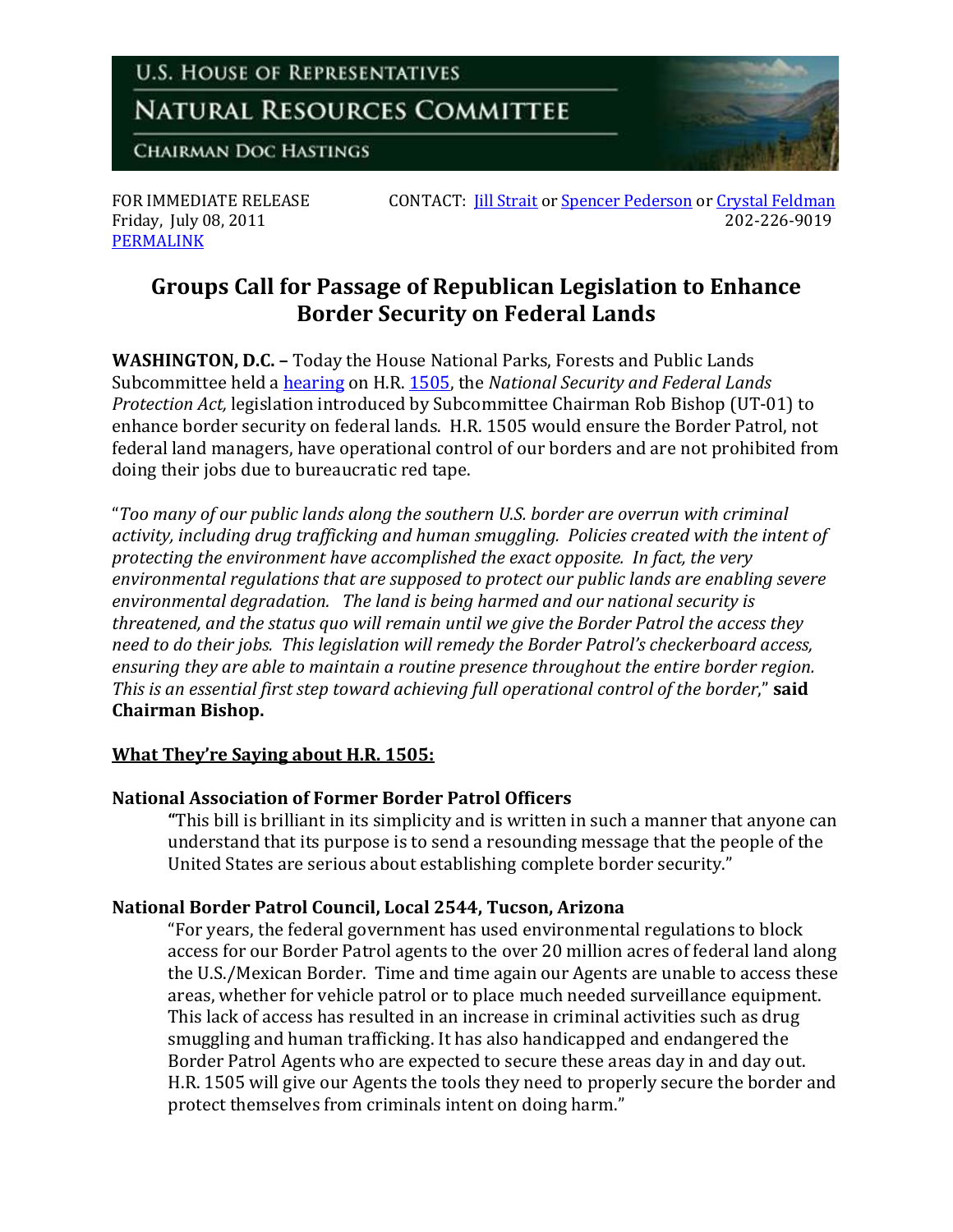

Friday, July 08, 2011 [PERMALINK](http://naturalresources.house.gov/News/DocumentSingle.aspx?DocumentID=250770)

FOR IMMEDIATE RELEASE CONTACT: <u>[Jill Strait](mailto:jill.strait@mail.house.gov)</u> or <u>Spencer Pederson</u> or <u>Crystal Feldman</u><br>Friday. July 08. 2011

# **Groups Call for Passage of Republican Legislation to Enhance Border Security on Federal Lands**

**WASHINGTON, D.C. –** Today the House National Parks, Forests and Public Lands Subcommittee held a [hearing](http://naturalresources.house.gov/Calendar/EventSingle.aspx?EventID=249412) on H.R. [1505,](http://naturalresources.house.gov/News/DocumentSingle.aspx?DocumentID=236358) the *National Security and Federal Lands Protection Act,* legislation introduced by Subcommittee Chairman Rob Bishop (UT-01) to enhance border security on federal lands. H.R. 1505 would ensure the Border Patrol, not federal land managers, have operational control of our borders and are not prohibited from doing their jobs due to bureaucratic red tape.

"*Too many of our public lands along the southern U.S. border are overrun with criminal activity, including drug trafficking and human smuggling. Policies created with the intent of protecting the environment have accomplished the exact opposite. In fact, the very environmental regulations that are supposed to protect our public lands are enabling severe environmental degradation. The land is being harmed and our national security is threatened, and the status quo will remain until we give the Border Patrol the access they need to do their jobs. This legislation will remedy the Border Patrol's checkerboard access, ensuring they are able to maintain a routine presence throughout the entire border region. This is an essential first step toward achieving full operational control of the border*," **said Chairman Bishop.**

## **What They're Saying about H.R. 1505:**

## **National Association of Former Border Patrol Officers**

**"**This bill is brilliant in its simplicity and is written in such a manner that anyone can understand that its purpose is to send a resounding message that the people of the United States are serious about establishing complete border security."

## **National Border Patrol Council, Local 2544, Tucson, Arizona**

"For years, the federal government has used environmental regulations to block access for our Border Patrol agents to the over 20 million acres of federal land along the U.S./Mexican Border. Time and time again our Agents are unable to access these areas, whether for vehicle patrol or to place much needed surveillance equipment. This lack of access has resulted in an increase in criminal activities such as drug smuggling and human trafficking. It has also handicapped and endangered the Border Patrol Agents who are expected to secure these areas day in and day out. H.R. 1505 will give our Agents the tools they need to properly secure the border and protect themselves from criminals intent on doing harm."